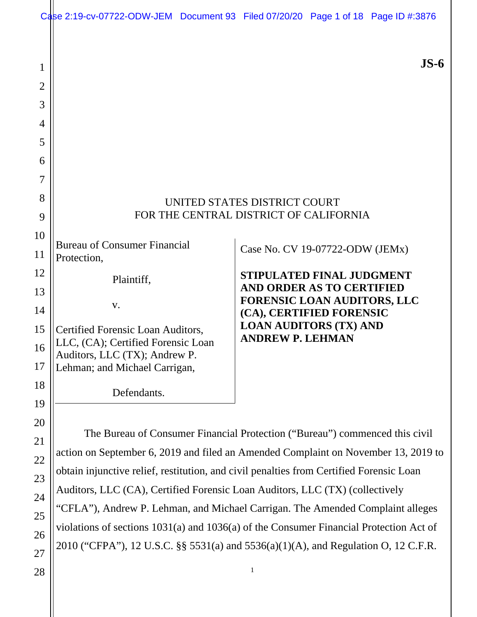|                | Case 2:19-cv-07722-ODW-JEM Document 93 Filed 07/20/20 Page 1 of 18 Page ID #:3876                                                                                 |                                                                                                                                                                |                                                                        |  |        |  |
|----------------|-------------------------------------------------------------------------------------------------------------------------------------------------------------------|----------------------------------------------------------------------------------------------------------------------------------------------------------------|------------------------------------------------------------------------|--|--------|--|
| 1              |                                                                                                                                                                   |                                                                                                                                                                |                                                                        |  | $JS-6$ |  |
| $\overline{2}$ |                                                                                                                                                                   |                                                                                                                                                                |                                                                        |  |        |  |
| 3              |                                                                                                                                                                   |                                                                                                                                                                |                                                                        |  |        |  |
| 4<br>5         |                                                                                                                                                                   |                                                                                                                                                                |                                                                        |  |        |  |
| 6              |                                                                                                                                                                   |                                                                                                                                                                |                                                                        |  |        |  |
| 7              |                                                                                                                                                                   |                                                                                                                                                                |                                                                        |  |        |  |
| 8              |                                                                                                                                                                   |                                                                                                                                                                |                                                                        |  |        |  |
| 9              |                                                                                                                                                                   |                                                                                                                                                                | UNITED STATES DISTRICT COURT<br>FOR THE CENTRAL DISTRICT OF CALIFORNIA |  |        |  |
| 10             |                                                                                                                                                                   |                                                                                                                                                                |                                                                        |  |        |  |
| 11             | <b>Bureau of Consumer Financial</b><br>Protection,                                                                                                                |                                                                                                                                                                | Case No. CV 19-07722-ODW (JEMx)                                        |  |        |  |
| 12             | Plaintiff,                                                                                                                                                        |                                                                                                                                                                | <b>STIPULATED FINAL JUDGMENT</b>                                       |  |        |  |
| 13             |                                                                                                                                                                   |                                                                                                                                                                | <b>AND ORDER AS TO CERTIFIED</b>                                       |  |        |  |
| 14             | V.                                                                                                                                                                |                                                                                                                                                                | <b>FORENSIC LOAN AUDITORS, LLC</b><br>(CA), CERTIFIED FORENSIC         |  |        |  |
| 15             | Certified Forensic Loan Auditors,                                                                                                                                 |                                                                                                                                                                | <b>LOAN AUDITORS (TX) AND</b><br><b>ANDREW P. LEHMAN</b>               |  |        |  |
| 16             | LLC, (CA); Certified Forensic Loan<br>Auditors, LLC (TX); Andrew P.                                                                                               |                                                                                                                                                                |                                                                        |  |        |  |
| 17             | Lehman; and Michael Carrigan,                                                                                                                                     |                                                                                                                                                                |                                                                        |  |        |  |
| 18             | Defendants.                                                                                                                                                       |                                                                                                                                                                |                                                                        |  |        |  |
| 19             |                                                                                                                                                                   |                                                                                                                                                                |                                                                        |  |        |  |
| 20             |                                                                                                                                                                   |                                                                                                                                                                |                                                                        |  |        |  |
| 21             | The Bureau of Consumer Financial Protection ("Bureau") commenced this civil<br>action on September 6, 2019 and filed an Amended Complaint on November 13, 2019 to |                                                                                                                                                                |                                                                        |  |        |  |
| 22             | obtain injunctive relief, restitution, and civil penalties from Certified Forensic Loan                                                                           |                                                                                                                                                                |                                                                        |  |        |  |
| 23             |                                                                                                                                                                   |                                                                                                                                                                |                                                                        |  |        |  |
| 24             |                                                                                                                                                                   | Auditors, LLC (CA), Certified Forensic Loan Auditors, LLC (TX) (collectively<br>"CFLA"), Andrew P. Lehman, and Michael Carrigan. The Amended Complaint alleges |                                                                        |  |        |  |
| 25             | violations of sections 1031(a) and 1036(a) of the Consumer Financial Protection Act of                                                                            |                                                                                                                                                                |                                                                        |  |        |  |
| 26             |                                                                                                                                                                   |                                                                                                                                                                |                                                                        |  |        |  |

27 2010 ("CFPA"), 12 U.S.C. §§ 5531(a) and 5536(a)(1)(A), and Regulation O, 12 C.F.R.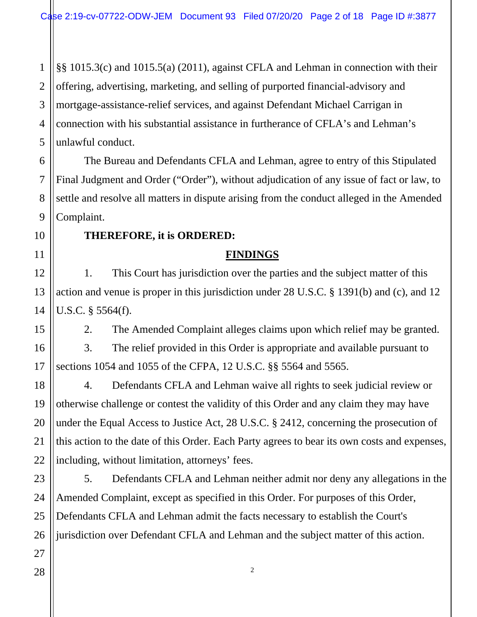1 2 3 4 5 §§ 1015.3(c) and 1015.5(a) (2011), against CFLA and Lehman in connection with their offering, advertising, marketing, and selling of purported financial-advisory and mortgage-assistance-relief services, and against Defendant Michael Carrigan in connection with his substantial assistance in furtherance of CFLA's and Lehman's unlawful conduct.

The Bureau and Defendants CFLA and Lehman, agree to entry of this Stipulated Final Judgment and Order ("Order"), without adjudication of any issue of fact or law, to settle and resolve all matters in dispute arising from the conduct alleged in the Amended Complaint.

#### **THEREFORE, it is ORDERED:**

#### **FINDINGS**

1. This Court has jurisdiction over the parties and the subject matter of this action and venue is proper in this jurisdiction under 28 U.S.C. § 1391(b) and (c), and 12 U.S.C. § 5564(f).

2. The Amended Complaint alleges claims upon which relief may be granted.

3. The relief provided in this Order is appropriate and available pursuant to sections 1054 and 1055 of the CFPA, 12 U.S.C. §§ 5564 and 5565.

18 19 20 22 4. Defendants CFLA and Lehman waive all rights to seek judicial review or otherwise challenge or contest the validity of this Order and any claim they may have under the Equal Access to Justice Act, 28 U.S.C. § 2412, concerning the prosecution of this action to the date of this Order. Each Party agrees to bear its own costs and expenses, including, without limitation, attorneys' fees.

23 24 5. Defendants CFLA and Lehman neither admit nor deny any allegations in the Amended Complaint, except as specified in this Order. For purposes of this Order, Defendants CFLA and Lehman admit the facts necessary to establish the Court's jurisdiction over Defendant CFLA and Lehman and the subject matter of this action.

2

6

7

8

9

10

11

12

13

14

15

16

17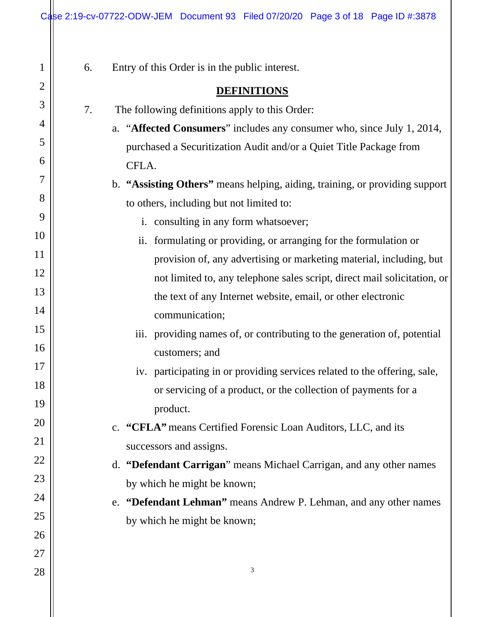| 1        | 6. | Entry of this Order is in the public interest.                              |
|----------|----|-----------------------------------------------------------------------------|
| 2        |    | <b>DEFINITIONS</b>                                                          |
| 3        | 7. | The following definitions apply to this Order:                              |
| 4        |    | a. "Affected Consumers" includes any consumer who, since July 1, 2014,      |
| 5        |    | purchased a Securitization Audit and/or a Quiet Title Package from          |
| 6        |    | CFLA.                                                                       |
| 7        |    | b. "Assisting Others" means helping, aiding, training, or providing support |
| 8        |    | to others, including but not limited to:                                    |
| 9        |    | i. consulting in any form whatsoever;                                       |
| 10       |    | ii. formulating or providing, or arranging for the formulation or           |
| 11       |    | provision of, any advertising or marketing material, including, but         |
| 12       |    | not limited to, any telephone sales script, direct mail solicitation, or    |
| 13       |    | the text of any Internet website, email, or other electronic                |
| 14       |    | communication;                                                              |
| 15       |    | iii. providing names of, or contributing to the generation of, potential    |
| 16       |    | customers; and                                                              |
| 17       |    | iv. participating in or providing services related to the offering, sale,   |
| 18       |    | or servicing of a product, or the collection of payments for a              |
| 19       |    | product.                                                                    |
| 20       |    | c. "CFLA" means Certified Forensic Loan Auditors, LLC, and its              |
| 21       |    | successors and assigns.                                                     |
| 22<br>23 |    | d. "Defendant Carrigan" means Michael Carrigan, and any other names         |
| 24       |    | by which he might be known;                                                 |
| 25       |    | e. "Defendant Lehman" means Andrew P. Lehman, and any other names           |
| 26       |    | by which he might be known;                                                 |
| 27       |    |                                                                             |
| 28       |    | 3                                                                           |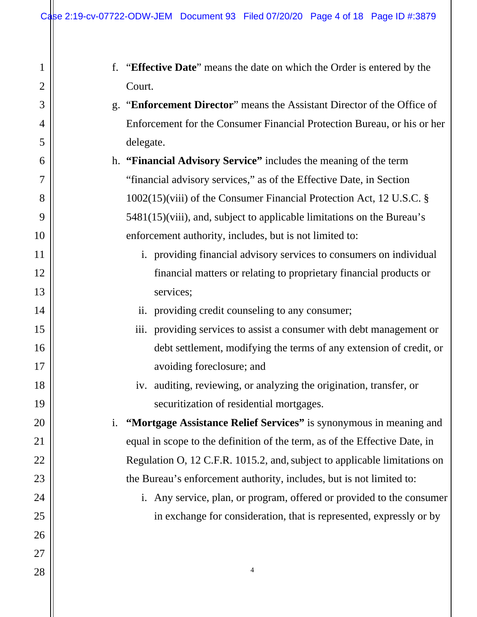| $\mathbf 1$    | f. "Effective Date" means the date on which the Order is entered by the    |
|----------------|----------------------------------------------------------------------------|
| $\overline{2}$ | Court.                                                                     |
| 3              | g. "Enforcement Director" means the Assistant Director of the Office of    |
| 4              | Enforcement for the Consumer Financial Protection Bureau, or his or her    |
| 5              | delegate.                                                                  |
| 6              | h. "Financial Advisory Service" includes the meaning of the term           |
| 7              | "financial advisory services," as of the Effective Date, in Section        |
| 8              | 1002(15)(viii) of the Consumer Financial Protection Act, 12 U.S.C. §       |
| 9              | 5481(15)(viii), and, subject to applicable limitations on the Bureau's     |
| 10             | enforcement authority, includes, but is not limited to:                    |
| <sup>11</sup>  | i. providing financial advisory services to consumers on individual        |
| 12             | financial matters or relating to proprietary financial products or         |
| 13             | services;                                                                  |
| 14             | ii. providing credit counseling to any consumer;                           |
| 15             | iii. providing services to assist a consumer with debt management or       |
| 16             | debt settlement, modifying the terms of any extension of credit, or        |
| 17             | avoiding foreclosure; and                                                  |
| 18             | iv. auditing, reviewing, or analyzing the origination, transfer, or        |
| 19             | securitization of residential mortgages.                                   |
| 20             | "Mortgage Assistance Relief Services" is synonymous in meaning and<br>i.   |
| 21             | equal in scope to the definition of the term, as of the Effective Date, in |
| 22             | Regulation O, 12 C.F.R. 1015.2, and, subject to applicable limitations on  |
| 23             | the Bureau's enforcement authority, includes, but is not limited to:       |
| 24             | i. Any service, plan, or program, offered or provided to the consumer      |
| 25             | in exchange for consideration, that is represented, expressly or by        |
| 26             |                                                                            |
| 27             |                                                                            |
| 28             | $\overline{4}$                                                             |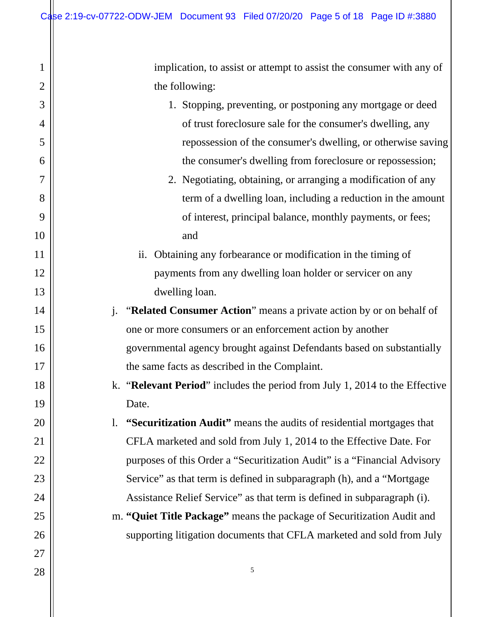implication, to assist or attempt to assist the consumer with any of the following:

- 1. Stopping, preventing, or postponing any mortgage or deed of trust foreclosure sale for the consumer's dwelling, any repossession of the consumer's dwelling, or otherwise saving the consumer's dwelling from foreclosure or repossession;
	- 2. Negotiating, obtaining, or arranging a modification of any term of a dwelling loan, including a reduction in the amount of interest, principal balance, monthly payments, or fees; and
- ii. Obtaining any forbearance or modification in the timing of payments from any dwelling loan holder or servicer on any dwelling loan.
- j. "**Related Consumer Action**" means a private action by or on behalf of one or more consumers or an enforcement action by another governmental agency brought against Defendants based on substantially the same facts as described in the Complaint.
- k. "**Relevant Period**" includes the period from July 1, 2014 to the Effective Date.

l. **"Securitization Audit"** means the audits of residential mortgages that CFLA marketed and sold from July 1, 2014 to the Effective Date. For purposes of this Order a "Securitization Audit" is a "Financial Advisory Service" as that term is defined in subparagraph (h), and a "Mortgage" Assistance Relief Service" as that term is defined in subparagraph (i).

m. **"Quiet Title Package"** means the package of Securitization Audit and supporting litigation documents that CFLA marketed and sold from July

5

27 28

1

2

3

4

5

6

7

8

9

10

11

12

13

14

15

16

17

18

19

20

21

22

23

24

25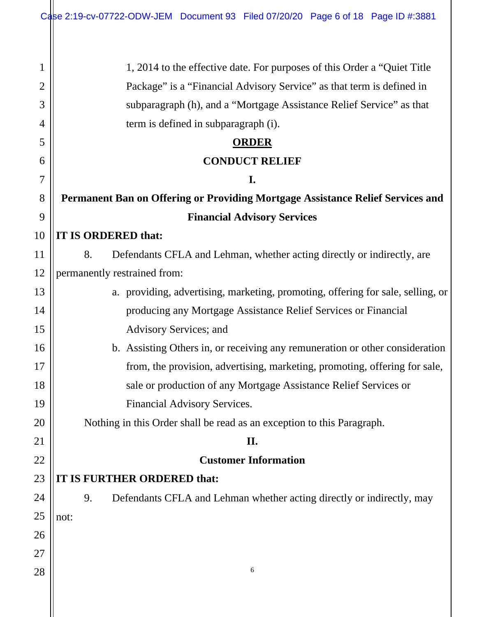| 1              | 1, 2014 to the effective date. For purposes of this Order a "Quiet Title"       |
|----------------|---------------------------------------------------------------------------------|
| $\overline{2}$ | Package" is a "Financial Advisory Service" as that term is defined in           |
| 3              | subparagraph (h), and a "Mortgage Assistance Relief Service" as that            |
| 4              | term is defined in subparagraph (i).                                            |
| 5              | <b>ORDER</b>                                                                    |
| 6              | <b>CONDUCT RELIEF</b>                                                           |
| 7              | I.                                                                              |
| 8              | Permanent Ban on Offering or Providing Mortgage Assistance Relief Services and  |
| 9              | <b>Financial Advisory Services</b>                                              |
| 10             | IT IS ORDERED that:                                                             |
| 11             | Defendants CFLA and Lehman, whether acting directly or indirectly, are<br>8.    |
| 12             | permanently restrained from:                                                    |
| 13             | a. providing, advertising, marketing, promoting, offering for sale, selling, or |
| 14             | producing any Mortgage Assistance Relief Services or Financial                  |
| 15             | Advisory Services; and                                                          |
| 16             | b. Assisting Others in, or receiving any remuneration or other consideration    |
| 17             | from, the provision, advertising, marketing, promoting, offering for sale,      |
| 18             | sale or production of any Mortgage Assistance Relief Services or                |
| 19             | Financial Advisory Services.                                                    |
| 20             | Nothing in this Order shall be read as an exception to this Paragraph.          |
| 21             | II.                                                                             |
| 22             | <b>Customer Information</b>                                                     |
| 23             | IT IS FURTHER ORDERED that:                                                     |
| 24             | Defendants CFLA and Lehman whether acting directly or indirectly, may<br>9.     |
| 25             | not:                                                                            |
| 26             |                                                                                 |
| 27             |                                                                                 |
| 28             | 6                                                                               |
|                |                                                                                 |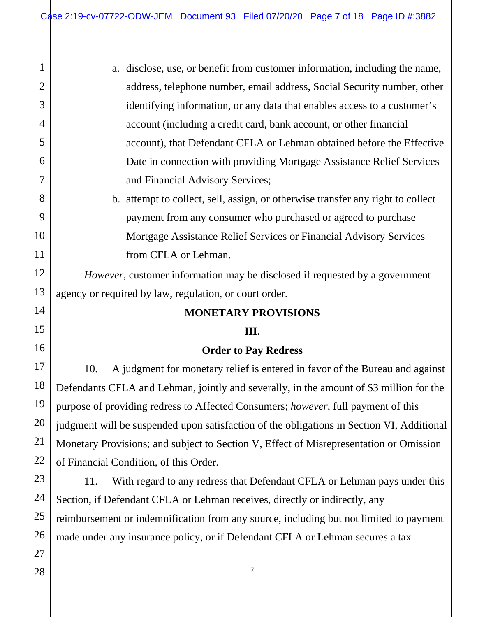| $\mathbf{1}$   | a. disclose, use, or benefit from customer information, including the name,     |
|----------------|---------------------------------------------------------------------------------|
| $\overline{2}$ | address, telephone number, email address, Social Security number, other         |
| 3              | identifying information, or any data that enables access to a customer's        |
| 4              | account (including a credit card, bank account, or other financial              |
| 5              | account), that Defendant CFLA or Lehman obtained before the Effective           |
| 6              | Date in connection with providing Mortgage Assistance Relief Services           |
| 7              | and Financial Advisory Services;                                                |
| 8              | b. attempt to collect, sell, assign, or otherwise transfer any right to collect |
| 9              | payment from any consumer who purchased or agreed to purchase                   |
| $\overline{0}$ | Mortgage Assistance Relief Services or Financial Advisory Services              |
| 1              | from CFLA or Lehman.                                                            |

*However*, customer information may be disclosed if requested by a government agency or required by law, regulation, or court order.

#### **MONETARY PROVISIONS**

#### **III.**

#### **Order to Pay Redress**

10. A judgment for monetary relief is entered in favor of the Bureau and against Defendants CFLA and Lehman, jointly and severally, in the amount of \$3 million for the purpose of providing redress to Affected Consumers; *however*, full payment of this judgment will be suspended upon satisfaction of the obligations in Section VI, Additional Monetary Provisions; and subject to Section V, Effect of Misrepresentation or Omission of Financial Condition, of this Order.

11. With regard to any redress that Defendant CFLA or Lehman pays under this Section, if Defendant CFLA or Lehman receives, directly or indirectly, any reimbursement or indemnification from any source, including but not limited to payment made under any insurance policy, or if Defendant CFLA or Lehman secures a tax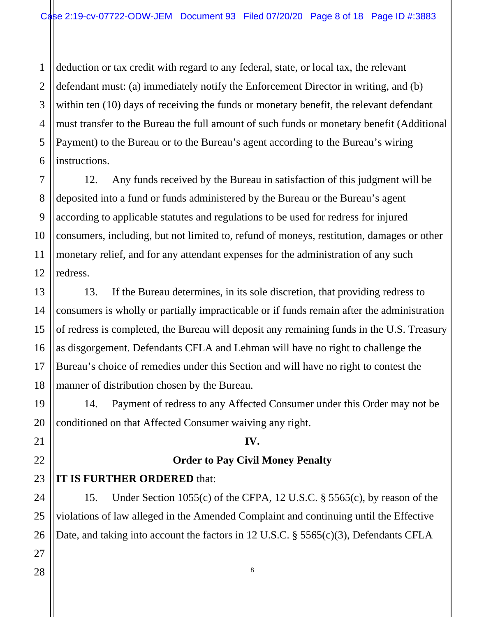1 2 3 deduction or tax credit with regard to any federal, state, or local tax, the relevant defendant must: (a) immediately notify the Enforcement Director in writing, and (b) within ten (10) days of receiving the funds or monetary benefit, the relevant defendant must transfer to the Bureau the full amount of such funds or monetary benefit (Additional Payment) to the Bureau or to the Bureau's agent according to the Bureau's wiring instructions.

12. Any funds received by the Bureau in satisfaction of this judgment will be deposited into a fund or funds administered by the Bureau or the Bureau's agent according to applicable statutes and regulations to be used for redress for injured consumers, including, but not limited to, refund of moneys, restitution, damages or other monetary relief, and for any attendant expenses for the administration of any such redress.

13. If the Bureau determines, in its sole discretion, that providing redress to consumers is wholly or partially impracticable or if funds remain after the administration of redress is completed, the Bureau will deposit any remaining funds in the U.S. Treasury as disgorgement. Defendants CFLA and Lehman will have no right to challenge the Bureau's choice of remedies under this Section and will have no right to contest the manner of distribution chosen by the Bureau.

14. Payment of redress to any Affected Consumer under this Order may not be conditioned on that Affected Consumer waiving any right.

#### **IV.**

#### **Order to Pay Civil Money Penalty**

## **IT IS FURTHER ORDERED** that:

15. Under Section 1055(c) of the CFPA, 12 U.S.C. § 5565(c), by reason of the violations of law alleged in the Amended Complaint and continuing until the Effective Date, and taking into account the factors in 12 U.S.C. § 5565(c)(3), Defendants CFLA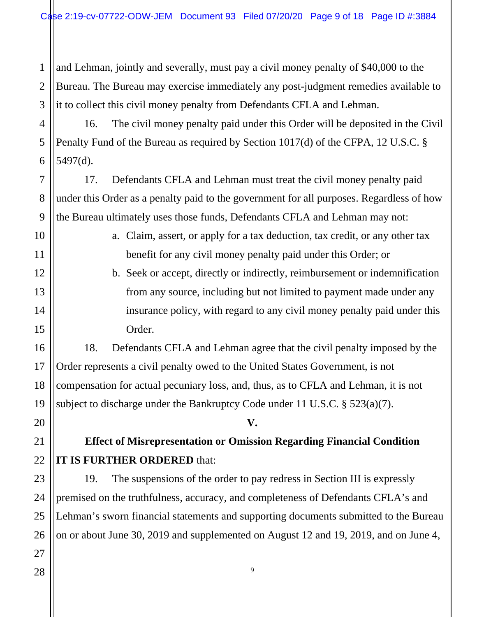1 2 3 and Lehman, jointly and severally, must pay a civil money penalty of \$40,000 to the Bureau. The Bureau may exercise immediately any post-judgment remedies available to it to collect this civil money penalty from Defendants CFLA and Lehman.

4 5 6 16. The civil money penalty paid under this Order will be deposited in the Civil Penalty Fund of the Bureau as required by Section 1017(d) of the CFPA, 12 U.S.C. § 5497(d).

17. Defendants CFLA and Lehman must treat the civil money penalty paid under this Order as a penalty paid to the government for all purposes. Regardless of how the Bureau ultimately uses those funds, Defendants CFLA and Lehman may not:

> a. Claim, assert, or apply for a tax deduction, tax credit, or any other tax benefit for any civil money penalty paid under this Order; or

b. Seek or accept, directly or indirectly, reimbursement or indemnification from any source, including but not limited to payment made under any insurance policy, with regard to any civil money penalty paid under this Order.

18. Defendants CFLA and Lehman agree that the civil penalty imposed by the Order represents a civil penalty owed to the United States Government, is not compensation for actual pecuniary loss, and, thus, as to CFLA and Lehman, it is not subject to discharge under the Bankruptcy Code under 11 U.S.C. § 523(a)(7).

**V.** 

## **Effect of Misrepresentation or Omission Regarding Financial Condition IT IS FURTHER ORDERED** that:

19. The suspensions of the order to pay redress in Section III is expressly premised on the truthfulness, accuracy, and completeness of Defendants CFLA's and Lehman's sworn financial statements and supporting documents submitted to the Bureau on or about June 30, 2019 and supplemented on August 12 and 19, 2019, and on June 4,

7

8

9

10

11

12

13

14

15

16

17

18

19

20

21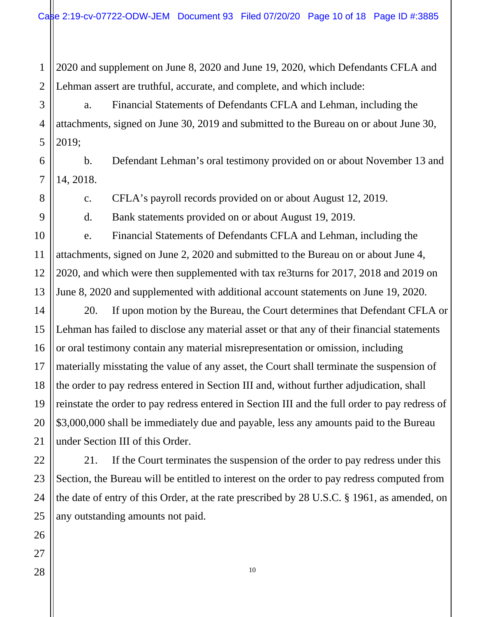1 2 2020 and supplement on June 8, 2020 and June 19, 2020, which Defendants CFLA and Lehman assert are truthful, accurate, and complete, and which include:

a. Financial Statements of Defendants CFLA and Lehman, including the attachments, signed on June 30, 2019 and submitted to the Bureau on or about June 30, 2019;

b. Defendant Lehman's oral testimony provided on or about November 13 and 14, 2018.

c. CFLA's payroll records provided on or about August 12, 2019.

d. Bank statements provided on or about August 19, 2019.

e. Financial Statements of Defendants CFLA and Lehman, including the attachments, signed on June 2, 2020 and submitted to the Bureau on or about June 4, 2020, and which were then supplemented with tax re3turns for 2017, 2018 and 2019 on June 8, 2020 and supplemented with additional account statements on June 19, 2020.

20. If upon motion by the Bureau, the Court determines that Defendant CFLA or Lehman has failed to disclose any material asset or that any of their financial statements or oral testimony contain any material misrepresentation or omission, including materially misstating the value of any asset, the Court shall terminate the suspension of the order to pay redress entered in Section III and, without further adjudication, shall reinstate the order to pay redress entered in Section III and the full order to pay redress of \$3,000,000 shall be immediately due and payable, less any amounts paid to the Bureau under Section III of this Order.

21. If the Court terminates the suspension of the order to pay redress under this Section, the Bureau will be entitled to interest on the order to pay redress computed from the date of entry of this Order, at the rate prescribed by 28 U.S.C. § 1961, as amended, on any outstanding amounts not paid.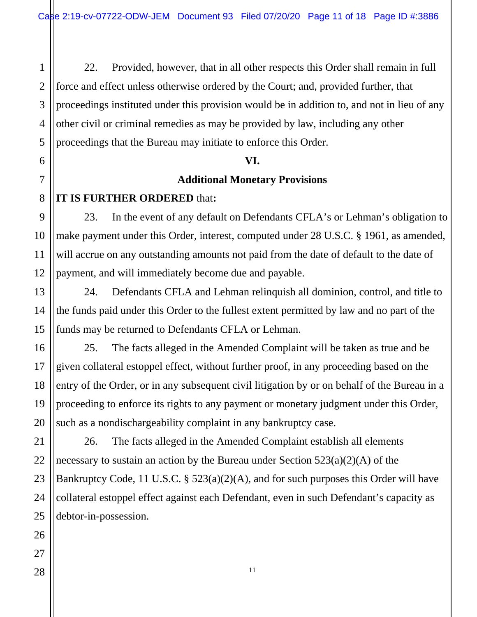1 2 3 4 5 22. Provided, however, that in all other respects this Order shall remain in full force and effect unless otherwise ordered by the Court; and, provided further, that proceedings instituted under this provision would be in addition to, and not in lieu of any other civil or criminal remedies as may be provided by law, including any other proceedings that the Bureau may initiate to enforce this Order.

#### **VI.**

#### **Additional Monetary Provisions**

#### **IT IS FURTHER ORDERED** that**:**

23. In the event of any default on Defendants CFLA's or Lehman's obligation to make payment under this Order, interest, computed under 28 U.S.C. § 1961, as amended, will accrue on any outstanding amounts not paid from the date of default to the date of payment, and will immediately become due and payable.

24. Defendants CFLA and Lehman relinquish all dominion, control, and title to the funds paid under this Order to the fullest extent permitted by law and no part of the funds may be returned to Defendants CFLA or Lehman.

25. The facts alleged in the Amended Complaint will be taken as true and be given collateral estoppel effect, without further proof, in any proceeding based on the entry of the Order, or in any subsequent civil litigation by or on behalf of the Bureau in a proceeding to enforce its rights to any payment or monetary judgment under this Order, such as a nondischargeability complaint in any bankruptcy case.

26. The facts alleged in the Amended Complaint establish all elements necessary to sustain an action by the Bureau under Section 523(a)(2)(A) of the Bankruptcy Code, 11 U.S.C. § 523(a)(2)(A), and for such purposes this Order will have collateral estoppel effect against each Defendant, even in such Defendant's capacity as debtor-in-possession.

6

7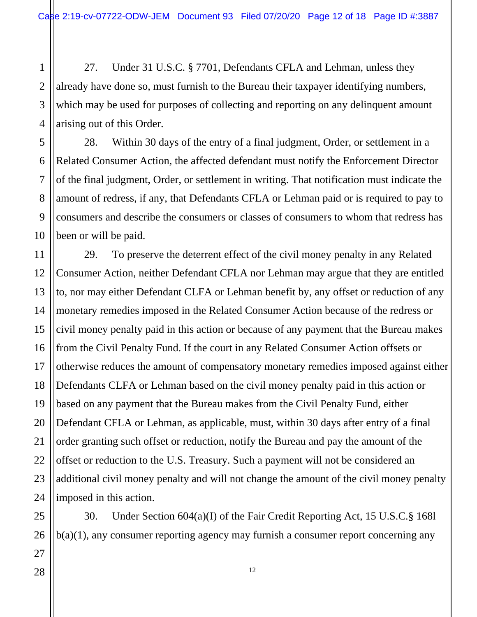27. Under 31 U.S.C. § 7701, Defendants CFLA and Lehman, unless they already have done so, must furnish to the Bureau their taxpayer identifying numbers, which may be used for purposes of collecting and reporting on any delinquent amount arising out of this Order.

28. Within 30 days of the entry of a final judgment, Order, or settlement in a Related Consumer Action, the affected defendant must notify the Enforcement Director of the final judgment, Order, or settlement in writing. That notification must indicate the amount of redress, if any, that Defendants CFLA or Lehman paid or is required to pay to consumers and describe the consumers or classes of consumers to whom that redress has been or will be paid.

29. To preserve the deterrent effect of the civil money penalty in any Related Consumer Action, neither Defendant CFLA nor Lehman may argue that they are entitled to, nor may either Defendant CLFA or Lehman benefit by, any offset or reduction of any monetary remedies imposed in the Related Consumer Action because of the redress or civil money penalty paid in this action or because of any payment that the Bureau makes from the Civil Penalty Fund. If the court in any Related Consumer Action offsets or otherwise reduces the amount of compensatory monetary remedies imposed against either Defendants CLFA or Lehman based on the civil money penalty paid in this action or based on any payment that the Bureau makes from the Civil Penalty Fund, either Defendant CFLA or Lehman, as applicable, must, within 30 days after entry of a final order granting such offset or reduction, notify the Bureau and pay the amount of the offset or reduction to the U.S. Treasury. Such a payment will not be considered an additional civil money penalty and will not change the amount of the civil money penalty imposed in this action.

30. Under Section 604(a)(I) of the Fair Credit Reporting Act, 15 U.S.C.§ 168l b(a)(1), any consumer reporting agency may furnish a consumer report concerning any

1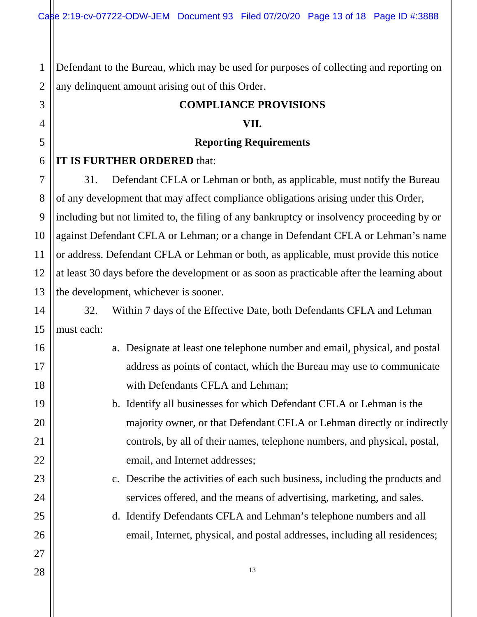1 2 Defendant to the Bureau, which may be used for purposes of collecting and reporting on any delinquent amount arising out of this Order.

#### **COMPLIANCE PROVISIONS**

#### **VII.**

#### **Reporting Requirements**

#### **IT IS FURTHER ORDERED** that:

31. Defendant CFLA or Lehman or both, as applicable, must notify the Bureau of any development that may affect compliance obligations arising under this Order, including but not limited to, the filing of any bankruptcy or insolvency proceeding by or against Defendant CFLA or Lehman; or a change in Defendant CFLA or Lehman's name or address. Defendant CFLA or Lehman or both, as applicable, must provide this notice at least 30 days before the development or as soon as practicable after the learning about the development, whichever is sooner.

32. Within 7 days of the Effective Date, both Defendants CFLA and Lehman must each:

- a. Designate at least one telephone number and email, physical, and postal address as points of contact, which the Bureau may use to communicate with Defendants CFLA and Lehman;
	- b. Identify all businesses for which Defendant CFLA or Lehman is the majority owner, or that Defendant CFLA or Lehman directly or indirectly controls, by all of their names, telephone numbers, and physical, postal, email, and Internet addresses;
		- c. Describe the activities of each such business, including the products and services offered, and the means of advertising, marketing, and sales.
		- d. Identify Defendants CFLA and Lehman's telephone numbers and all email, Internet, physical, and postal addresses, including all residences;

3

4

5

6

7

8

9

10

11

12

13

14

15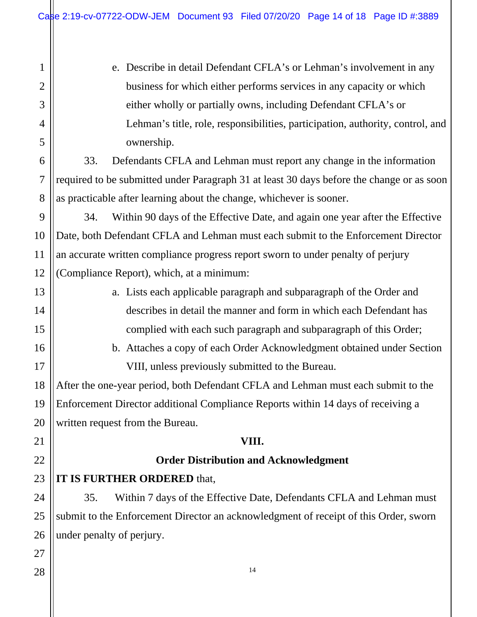| 1                | e. Describe in detail Defendant CFLA's or Lehman's involvement in any                     |  |  |
|------------------|-------------------------------------------------------------------------------------------|--|--|
| $\overline{2}$   | business for which either performs services in any capacity or which                      |  |  |
| 3                | either wholly or partially owns, including Defendant CFLA's or                            |  |  |
| 4                | Lehman's title, role, responsibilities, participation, authority, control, and            |  |  |
| 5                | ownership.                                                                                |  |  |
| 6                | Defendants CFLA and Lehman must report any change in the information<br>33.               |  |  |
| $\boldsymbol{7}$ | required to be submitted under Paragraph 31 at least 30 days before the change or as soon |  |  |
| 8                | as practicable after learning about the change, whichever is sooner.                      |  |  |
| 9                | Within 90 days of the Effective Date, and again one year after the Effective<br>34.       |  |  |
| 10               | Date, both Defendant CFLA and Lehman must each submit to the Enforcement Director         |  |  |
| 11               | an accurate written compliance progress report sworn to under penalty of perjury          |  |  |
| 12               | (Compliance Report), which, at a minimum:                                                 |  |  |
| 13               | a. Lists each applicable paragraph and subparagraph of the Order and                      |  |  |
| 14               | describes in detail the manner and form in which each Defendant has                       |  |  |
| 15               | complied with each such paragraph and subparagraph of this Order;                         |  |  |
| 16               | b. Attaches a copy of each Order Acknowledgment obtained under Section                    |  |  |
| 17               | VIII, unless previously submitted to the Bureau.                                          |  |  |
| 18               | After the one-year period, both Defendant CFLA and Lehman must each submit to the         |  |  |
| 19               | Enforcement Director additional Compliance Reports within 14 days of receiving a          |  |  |
| 20               | written request from the Bureau.                                                          |  |  |
| 21               | VIII.                                                                                     |  |  |
| 22               | <b>Order Distribution and Acknowledgment</b>                                              |  |  |
| 23               | <b>IT IS FURTHER ORDERED that,</b>                                                        |  |  |
| 24               | Within 7 days of the Effective Date, Defendants CFLA and Lehman must<br>35.               |  |  |
| 25               | submit to the Enforcement Director an acknowledgment of receipt of this Order, sworn      |  |  |
| 26               | under penalty of perjury.                                                                 |  |  |
| 27               |                                                                                           |  |  |
| 28               | 14                                                                                        |  |  |
|                  |                                                                                           |  |  |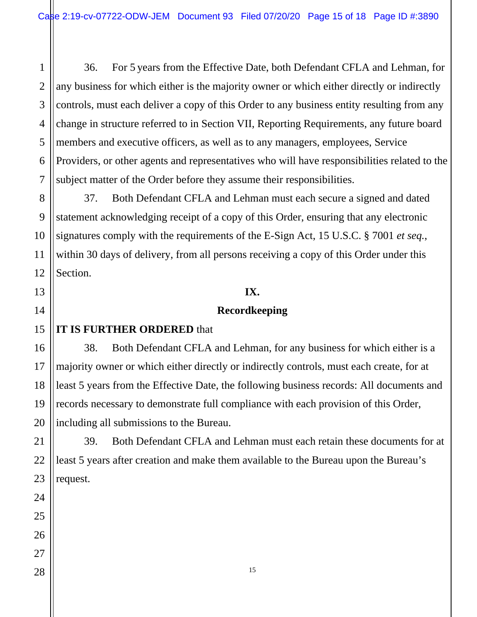2 36. For 5 years from the Effective Date, both Defendant CFLA and Lehman, for any business for which either is the majority owner or which either directly or indirectly controls, must each deliver a copy of this Order to any business entity resulting from any change in structure referred to in Section VII, Reporting Requirements, any future board members and executive officers, as well as to any managers, employees, Service Providers, or other agents and representatives who will have responsibilities related to the subject matter of the Order before they assume their responsibilities.

37. Both Defendant CFLA and Lehman must each secure a signed and dated statement acknowledging receipt of a copy of this Order, ensuring that any electronic signatures comply with the requirements of the E-Sign Act, 15 U.S.C. § 7001 *et seq.*, within 30 days of delivery, from all persons receiving a copy of this Order under this Section.

## **IX.**

### **Recordkeeping**

#### **IT IS FURTHER ORDERED** that

38. Both Defendant CFLA and Lehman, for any business for which either is a majority owner or which either directly or indirectly controls, must each create, for at least 5 years from the Effective Date, the following business records: All documents and records necessary to demonstrate full compliance with each provision of this Order, including all submissions to the Bureau.

39. Both Defendant CFLA and Lehman must each retain these documents for at least 5 years after creation and make them available to the Bureau upon the Bureau's request.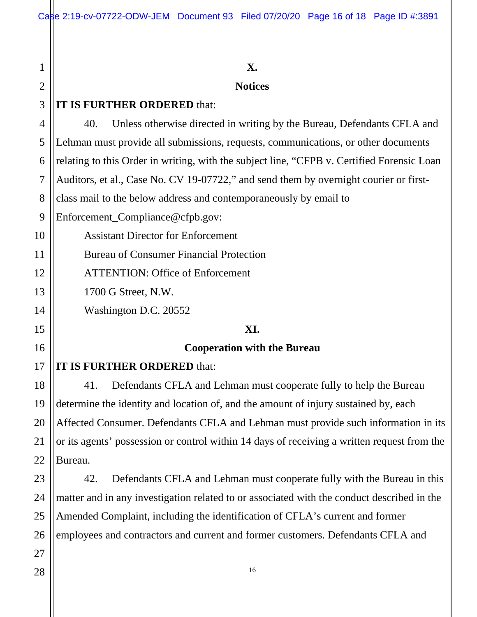# **X. Notices IT IS FURTHER ORDERED** that: 40. Unless otherwise directed in writing by the Bureau, Defendants CFLA and Lehman must provide all submissions, requests, communications, or other documents relating to this Order in writing, with the subject line, "CFPB v. Certified Forensic Loan Auditors, et al., Case No. CV 19-07722," and send them by overnight courier or firstclass mail to the below address and contemporaneously by email to Enforcement\_Compliance@cfpb.gov: Assistant Director for Enforcement Bureau of Consumer Financial Protection ATTENTION: Office of Enforcement 1700 G Street, N.W. Washington D.C. 20552 **XI. Cooperation with the Bureau IT IS FURTHER ORDERED** that: 41. Defendants CFLA and Lehman must cooperate fully to help the Bureau determine the identity and location of, and the amount of injury sustained by, each Affected Consumer. Defendants CFLA and Lehman must provide such information in its or its agents' possession or control within 14 days of receiving a written request from the Bureau.

23 24 25 26 42. Defendants CFLA and Lehman must cooperate fully with the Bureau in this matter and in any investigation related to or associated with the conduct described in the Amended Complaint, including the identification of CFLA's current and former employees and contractors and current and former customers. Defendants CFLA and

27 28

1

2

3

4

5

6

7

8

9

10

11

12

13

14

15

16

17

18

19

20

21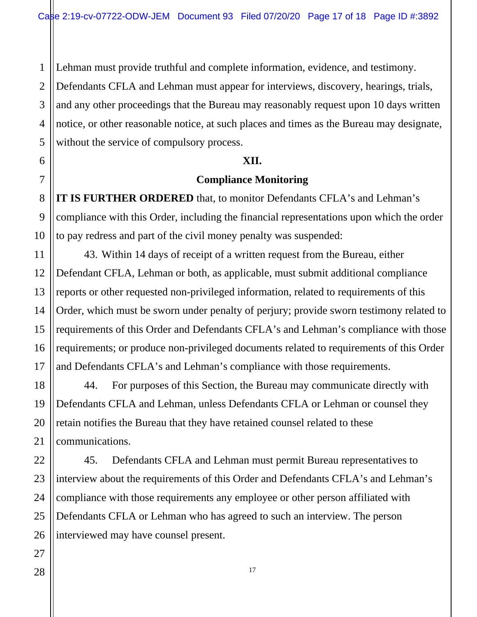Lehman must provide truthful and complete information, evidence, and testimony.

2 3 Defendants CFLA and Lehman must appear for interviews, discovery, hearings, trials, and any other proceedings that the Bureau may reasonably request upon 10 days written notice, or other reasonable notice, at such places and times as the Bureau may designate, without the service of compulsory process.

#### **XII.**

#### **Compliance Monitoring**

**IT IS FURTHER ORDERED** that, to monitor Defendants CFLA's and Lehman's compliance with this Order, including the financial representations upon which the order to pay redress and part of the civil money penalty was suspended:

43. Within 14 days of receipt of a written request from the Bureau, either Defendant CFLA, Lehman or both, as applicable, must submit additional compliance reports or other requested non-privileged information, related to requirements of this Order, which must be sworn under penalty of perjury; provide sworn testimony related to requirements of this Order and Defendants CFLA's and Lehman's compliance with those requirements; or produce non-privileged documents related to requirements of this Order and Defendants CFLA's and Lehman's compliance with those requirements.

44. For purposes of this Section, the Bureau may communicate directly with Defendants CFLA and Lehman, unless Defendants CFLA or Lehman or counsel they retain notifies the Bureau that they have retained counsel related to these communications.

45. Defendants CFLA and Lehman must permit Bureau representatives to interview about the requirements of this Order and Defendants CFLA's and Lehman's compliance with those requirements any employee or other person affiliated with Defendants CFLA or Lehman who has agreed to such an interview. The person interviewed may have counsel present.

1